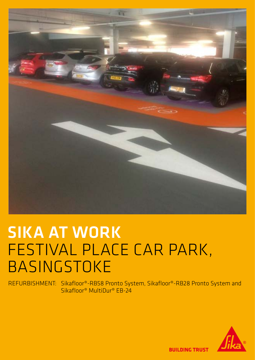

## SIKA AT WORK FESTIVAL PLACE CAR PARK, BASINGSTOKE

REFURBISHMENT: Sikafloor®-RB58 Pronto System, Sikafloor®-RB28 Pronto System and Sikafloor® MultiDur® EB-24



**BUILDING TRUST**